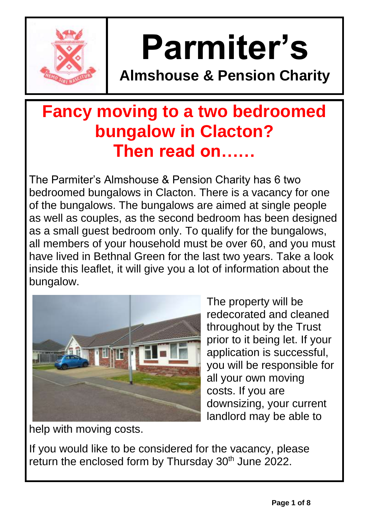

# **Parmiter's**

**Almshouse & Pension Charity**

## **Fancy moving to a two bedroomed bungalow in Clacton? Then read on……**

The Parmiter's Almshouse & Pension Charity has 6 two bedroomed bungalows in Clacton. There is a vacancy for one of the bungalows. The bungalows are aimed at single people as well as couples, as the second bedroom has been designed as a small guest bedroom only. To qualify for the bungalows, all members of your household must be over 60, and you must have lived in Bethnal Green for the last two years. Take a look inside this leaflet, it will give you a lot of information about the bungalow.



The property will be redecorated and cleaned throughout by the Trust prior to it being let. If your application is successful, you will be responsible for all your own moving costs. If you are downsizing, your current landlord may be able to

help with moving costs.

If you would like to be considered for the vacancy, please return the enclosed form by Thursday 30<sup>th</sup> June 2022.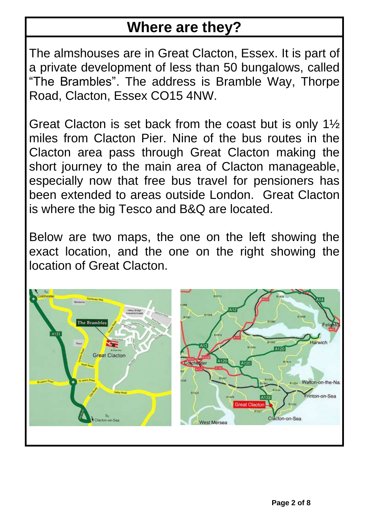#### **Where are they?**

The almshouses are in Great Clacton, Essex. It is part of a private development of less than 50 bungalows, called "The Brambles". The address is Bramble Way, Thorpe Road, Clacton, Essex CO15 4NW.

Great Clacton is set back from the coast but is only 1½ miles from Clacton Pier. Nine of the bus routes in the Clacton area pass through Great Clacton making the short journey to the main area of Clacton manageable, especially now that free bus travel for pensioners has been extended to areas outside London. Great Clacton is where the big Tesco and B&Q are located.

Below are two maps, the one on the left showing the exact location, and the one on the right showing the location of Great Clacton.

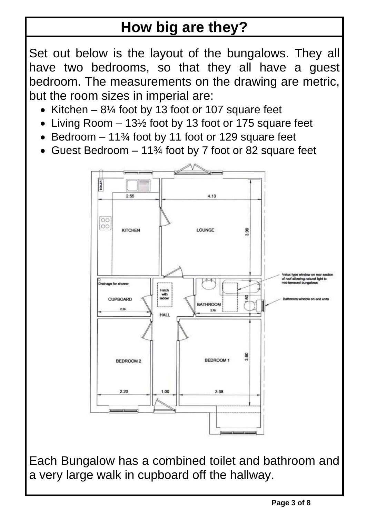## **How big are they?**

Set out below is the layout of the bungalows. They all have two bedrooms, so that they all have a guest bedroom. The measurements on the drawing are metric, but the room sizes in imperial are:

- Kitchen  $-8\frac{1}{4}$  foot by 13 foot or 107 square feet
- Living Room 13½ foot by 13 foot or 175 square feet
- Bedroom 11<sup>3</sup>/<sub>4</sub> foot by 11 foot or 129 square feet
- Guest Bedroom 11<sup>3</sup>/4 foot by 7 foot or 82 square feet



Each Bungalow has a combined toilet and bathroom and a very large walk in cupboard off the hallway.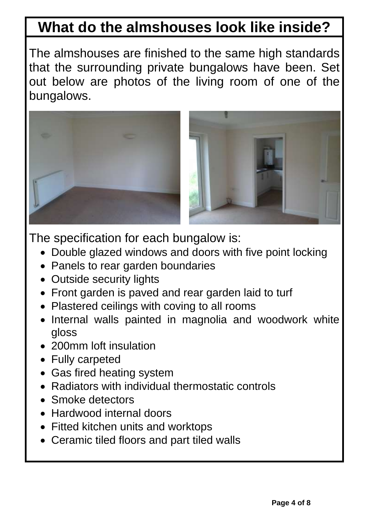#### **What do the almshouses look like inside?**

The almshouses are finished to the same high standards that the surrounding private bungalows have been. Set out below are photos of the living room of one of the bungalows.



The specification for each bungalow is:

- Double glazed windows and doors with five point locking
- Panels to rear garden boundaries
- Outside security lights
- Front garden is paved and rear garden laid to turf
- Plastered ceilings with coving to all rooms
- Internal walls painted in magnolia and woodwork white gloss
- 200mm loft insulation
- Fully carpeted
- Gas fired heating system
- Radiators with individual thermostatic controls
- Smoke detectors
- Hardwood internal doors
- Fitted kitchen units and worktops
- Ceramic tiled floors and part tiled walls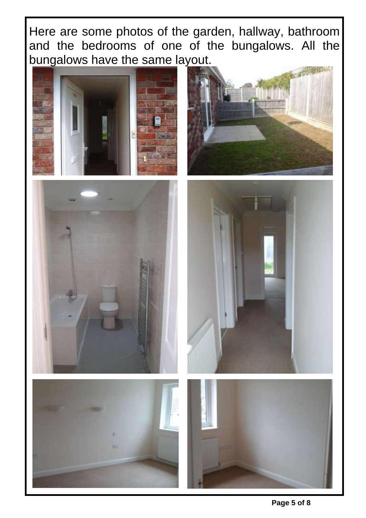Here are some photos of the garden, hallway, bathroom and the bedrooms of one of the bungalows. All the bungalows have the same layout.











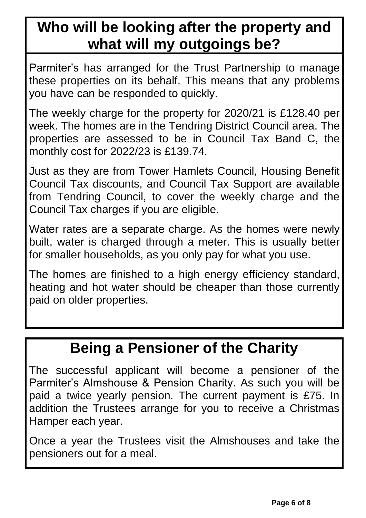## **Who will be looking after the property and what will my outgoings be?**

Parmiter's has arranged for the Trust Partnership to manage these properties on its behalf. This means that any problems you have can be responded to quickly.

The weekly charge for the property for 2020/21 is £128.40 per week. The homes are in the Tendring District Council area. The properties are assessed to be in Council Tax Band C, the monthly cost for 2022/23 is £139.74.

Just as they are from Tower Hamlets Council, Housing Benefit Council Tax discounts, and Council Tax Support are available from Tendring Council, to cover the weekly charge and the Council Tax charges if you are eligible.

Water rates are a separate charge. As the homes were newly built, water is charged through a meter. This is usually better for smaller households, as you only pay for what you use.

The homes are finished to a high energy efficiency standard, heating and hot water should be cheaper than those currently paid on older properties.

#### **Being a Pensioner of the Charity**

The successful applicant will become a pensioner of the Parmiter's Almshouse & Pension Charity. As such you will be paid a twice yearly pension. The current payment is £75. In addition the Trustees arrange for you to receive a Christmas Hamper each year.

Once a year the Trustees visit the Almshouses and take the pensioners out for a meal.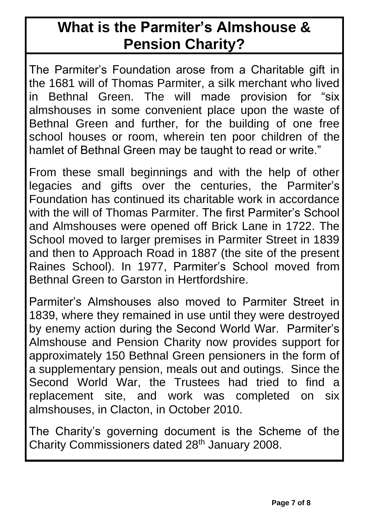#### **What is the Parmiter's Almshouse & Pension Charity?**

The Parmiter's Foundation arose from a Charitable gift in the 1681 will of Thomas Parmiter, a silk merchant who lived in Bethnal Green. The will made provision for "six almshouses in some convenient place upon the waste of Bethnal Green and further, for the building of one free school houses or room, wherein ten poor children of the hamlet of Bethnal Green may be taught to read or write."

From these small beginnings and with the help of other legacies and gifts over the centuries, the Parmiter's Foundation has continued its charitable work in accordance with the will of Thomas Parmiter. The first Parmiter's School and Almshouses were opened off Brick Lane in 1722. The School moved to larger premises in Parmiter Street in 1839 and then to Approach Road in 1887 (the site of the present Raines School). In 1977, Parmiter's School moved from Bethnal Green to Garston in Hertfordshire.

Parmiter's Almshouses also moved to Parmiter Street in 1839, where they remained in use until they were destroyed by enemy action during the Second World War. Parmiter's Almshouse and Pension Charity now provides support for approximately 150 Bethnal Green pensioners in the form of a supplementary pension, meals out and outings. Since the Second World War, the Trustees had tried to find a replacement site, and work was completed on six almshouses, in Clacton, in October 2010.

The Charity's governing document is the Scheme of the Charity Commissioners dated 28<sup>th</sup> January 2008.